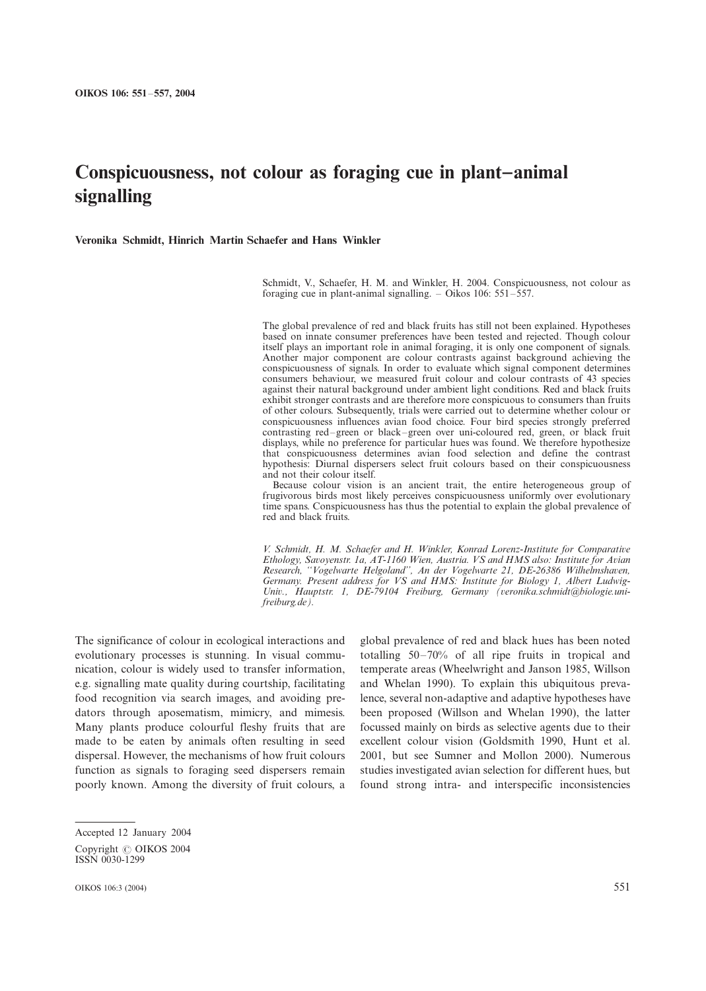# Conspicuousness, not colour as foraging cue in plant-animal signalling

Veronika Schmidt, Hinrich Martin Schaefer and Hans Winkler

Schmidt, V., Schaefer, H. M. and Winkler, H. 2004. Conspicuousness, not colour as foraging cue in plant-animal signalling.  $-$  Oikos 106: 551 $-$ 557.

The global prevalence of red and black fruits has still not been explained. Hypotheses based on innate consumer preferences have been tested and rejected. Though colour itself plays an important role in animal foraging, it is only one component of signals. Another major component are colour contrasts against background achieving the conspicuousness of signals. In order to evaluate which signal component determines consumers behaviour, we measured fruit colour and colour contrasts of 43 species against their natural background under ambient light conditions. Red and black fruits exhibit stronger contrasts and are therefore more conspicuous to consumers than fruits of other colours. Subsequently, trials were carried out to determine whether colour or conspicuousness influences avian food choice. Four bird species strongly preferred contrasting red-green or black-green over uni-coloured red, green, or black fruit displays, while no preference for particular hues was found. We therefore hypothesize that conspicuousness determines avian food selection and define the contrast hypothesis: Diurnal dispersers select fruit colours based on their conspicuousness and not their colour itself.

Because colour vision is an ancient trait, the entire heterogeneous group of frugivorous birds most likely perceives conspicuousness uniformly over evolutionary time spans. Conspicuousness has thus the potential to explain the global prevalence of red and black fruits.

V. Schmidt, H. M. Schaefer and H. Winkler, Konrad Lorenz-Institute for Comparative Ethology, Savoyenstr. 1a, AT-1160 Wien, Austria. VS and HMS also: Institute for Avian Research, ''Vogelwarte Helgoland'', An der Vogelwarte 21, DE-26386 Wilhelmshaven, Germany. Present address for VS and HMS: Institute for Biology 1, Albert Ludwig-Univ., Hauptstr. 1, DE-79104 Freiburg, Germany (veronika.schmidt@biologie.unifreiburg.de).

The significance of colour in ecological interactions and evolutionary processes is stunning. In visual communication, colour is widely used to transfer information, e.g. signalling mate quality during courtship, facilitating food recognition via search images, and avoiding predators through aposematism, mimicry, and mimesis. Many plants produce colourful fleshy fruits that are made to be eaten by animals often resulting in seed dispersal. However, the mechanisms of how fruit colours function as signals to foraging seed dispersers remain poorly known. Among the diversity of fruit colours, a global prevalence of red and black hues has been noted totalling  $50-70%$  of all ripe fruits in tropical and temperate areas (Wheelwright and Janson 1985, Willson and Whelan 1990). To explain this ubiquitous prevalence, several non-adaptive and adaptive hypotheses have been proposed (Willson and Whelan 1990), the latter focussed mainly on birds as selective agents due to their excellent colour vision (Goldsmith 1990, Hunt et al. 2001, but see Sumner and Mollon 2000). Numerous studies investigated avian selection for different hues, but found strong intra- and interspecific inconsistencies

Accepted 12 January 2004 Copyright © OIKOS 2004 ISSN 0030-1299

OIKOS 106:3 (2004) 551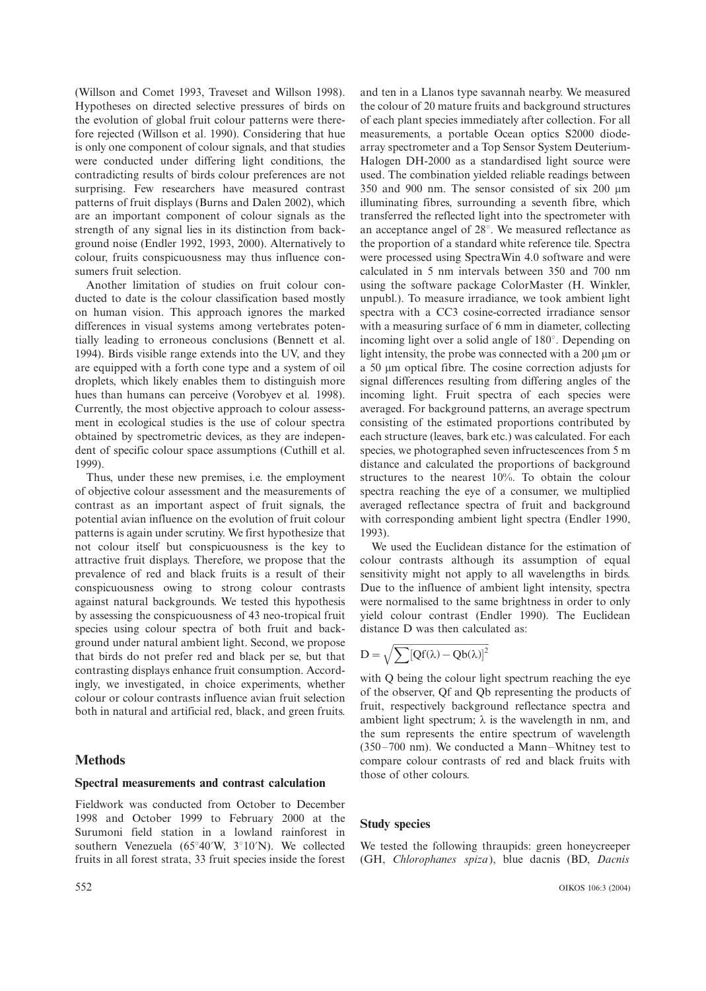(Willson and Comet 1993, Traveset and Willson 1998). Hypotheses on directed selective pressures of birds on the evolution of global fruit colour patterns were therefore rejected (Willson et al. 1990). Considering that hue is only one component of colour signals, and that studies were conducted under differing light conditions, the contradicting results of birds colour preferences are not surprising. Few researchers have measured contrast patterns of fruit displays (Burns and Dalen 2002), which are an important component of colour signals as the strength of any signal lies in its distinction from background noise (Endler 1992, 1993, 2000). Alternatively to colour, fruits conspicuousness may thus influence consumers fruit selection.

Another limitation of studies on fruit colour conducted to date is the colour classification based mostly on human vision. This approach ignores the marked differences in visual systems among vertebrates potentially leading to erroneous conclusions (Bennett et al. 1994). Birds visible range extends into the UV, and they are equipped with a forth cone type and a system of oil droplets, which likely enables them to distinguish more hues than humans can perceive (Vorobyev et al. 1998). Currently, the most objective approach to colour assessment in ecological studies is the use of colour spectra obtained by spectrometric devices, as they are independent of specific colour space assumptions (Cuthill et al. 1999).

Thus, under these new premises, i.e. the employment of objective colour assessment and the measurements of contrast as an important aspect of fruit signals, the potential avian influence on the evolution of fruit colour patterns is again under scrutiny. We first hypothesize that not colour itself but conspicuousness is the key to attractive fruit displays. Therefore, we propose that the prevalence of red and black fruits is a result of their conspicuousness owing to strong colour contrasts against natural backgrounds. We tested this hypothesis by assessing the conspicuousness of 43 neo-tropical fruit species using colour spectra of both fruit and background under natural ambient light. Second, we propose that birds do not prefer red and black per se, but that contrasting displays enhance fruit consumption. Accordingly, we investigated, in choice experiments, whether colour or colour contrasts influence avian fruit selection both in natural and artificial red, black, and green fruits.

# Methods

## Spectral measurements and contrast calculation

Fieldwork was conducted from October to December 1998 and October 1999 to February 2000 at the Surumoni field station in a lowland rainforest in southern Venezuela ( $65^{\circ}40'W$ ,  $3^{\circ}10'N$ ). We collected fruits in all forest strata, 33 fruit species inside the forest and ten in a Llanos type savannah nearby. We measured the colour of 20 mature fruits and background structures of each plant species immediately after collection. For all measurements, a portable Ocean optics S2000 diodearray spectrometer and a Top Sensor System Deuterium-Halogen DH-2000 as a standardised light source were used. The combination yielded reliable readings between 350 and 900 nm. The sensor consisted of six 200 µm illuminating fibres, surrounding a seventh fibre, which transferred the reflected light into the spectrometer with an acceptance angel of  $28^{\circ}$ . We measured reflectance as the proportion of a standard white reference tile. Spectra were processed using SpectraWin 4.0 software and were calculated in 5 nm intervals between 350 and 700 nm using the software package ColorMaster (H. Winkler, unpubl.). To measure irradiance, we took ambient light spectra with a CC3 cosine-corrected irradiance sensor with a measuring surface of 6 mm in diameter, collecting incoming light over a solid angle of  $180^\circ$ . Depending on light intensity, the probe was connected with a  $200 \mu m$  or a 50 mm optical fibre. The cosine correction adjusts for signal differences resulting from differing angles of the incoming light. Fruit spectra of each species were averaged. For background patterns, an average spectrum consisting of the estimated proportions contributed by each structure (leaves, bark etc.) was calculated. For each species, we photographed seven infructescences from 5 m distance and calculated the proportions of background structures to the nearest 10%. To obtain the colour spectra reaching the eye of a consumer, we multiplied averaged reflectance spectra of fruit and background with corresponding ambient light spectra (Endler 1990, 1993).

We used the Euclidean distance for the estimation of colour contrasts although its assumption of equal sensitivity might not apply to all wavelengths in birds. Due to the influence of ambient light intensity, spectra were normalised to the same brightness in order to only yield colour contrast (Endler 1990). The Euclidean distance D was then calculated as:

$$
D=\sqrt{\sum\!\left[Qf(\lambda)-Qb(\lambda)\right]^2}
$$

with Q being the colour light spectrum reaching the eye of the observer, Qf and Qb representing the products of fruit, respectively background reflectance spectra and ambient light spectrum;  $\lambda$  is the wavelength in nm, and the sum represents the entire spectrum of wavelength  $(350-700 \text{ nm})$ . We conducted a Mann-Whitney test to compare colour contrasts of red and black fruits with those of other colours.

## Study species

We tested the following thraupids: green honeycreeper (GH, Chlorophanes spiza), blue dacnis (BD, Dacnis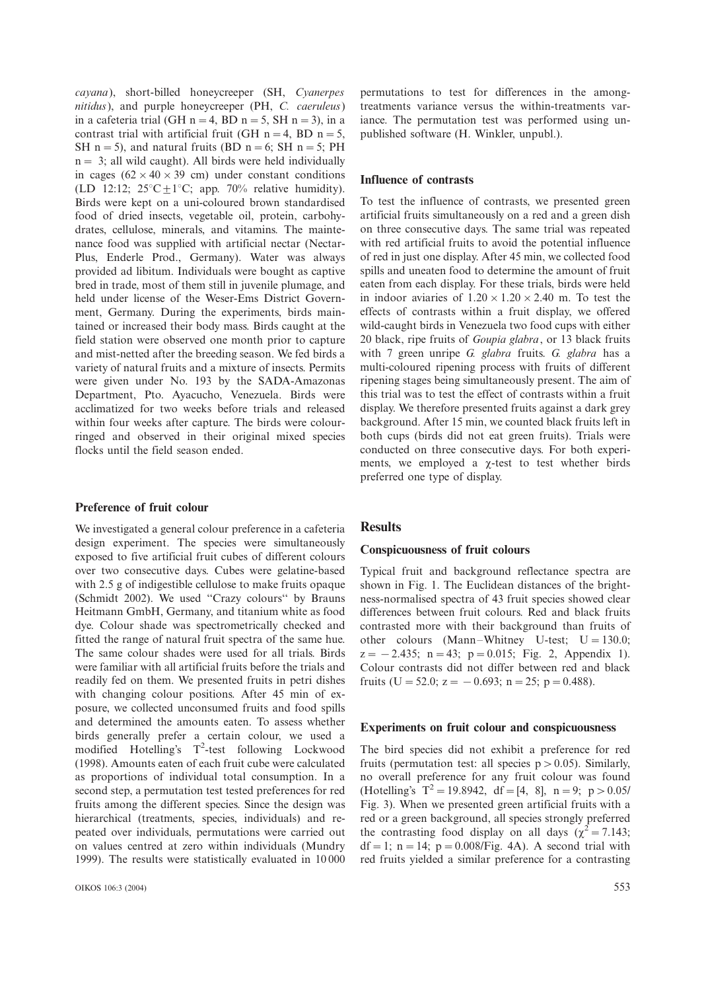cayana), short-billed honeycreeper (SH, Cyanerpes nitidus), and purple honeycreeper (PH, C. caeruleus) in a cafeteria trial (GH  $n = 4$ , BD  $n = 5$ , SH  $n = 3$ ), in a contrast trial with artificial fruit (GH  $n = 4$ , BD  $n = 5$ , SH n = 5), and natural fruits (BD n = 6; SH n = 5; PH  $n = 3$ ; all wild caught). All birds were held individually in cages  $(62 \times 40 \times 39$  cm) under constant conditions (LD 12:12;  $25^{\circ}C \pm 1^{\circ}C$ ; app. 70% relative humidity). Birds were kept on a uni-coloured brown standardised food of dried insects, vegetable oil, protein, carbohydrates, cellulose, minerals, and vitamins. The maintenance food was supplied with artificial nectar (Nectar-Plus, Enderle Prod., Germany). Water was always provided ad libitum. Individuals were bought as captive bred in trade, most of them still in juvenile plumage, and held under license of the Weser-Ems District Government, Germany. During the experiments, birds maintained or increased their body mass. Birds caught at the field station were observed one month prior to capture and mist-netted after the breeding season. We fed birds a variety of natural fruits and a mixture of insects. Permits were given under No. 193 by the SADA-Amazonas Department, Pto. Ayacucho, Venezuela. Birds were acclimatized for two weeks before trials and released within four weeks after capture. The birds were colourringed and observed in their original mixed species flocks until the field season ended.

#### Preference of fruit colour

We investigated a general colour preference in a cafeteria design experiment. The species were simultaneously exposed to five artificial fruit cubes of different colours over two consecutive days. Cubes were gelatine-based with 2.5 g of indigestible cellulose to make fruits opaque (Schmidt 2002). We used ''Crazy colours'' by Brauns Heitmann GmbH, Germany, and titanium white as food dye. Colour shade was spectrometrically checked and fitted the range of natural fruit spectra of the same hue. The same colour shades were used for all trials. Birds were familiar with all artificial fruits before the trials and readily fed on them. We presented fruits in petri dishes with changing colour positions. After 45 min of exposure, we collected unconsumed fruits and food spills and determined the amounts eaten. To assess whether birds generally prefer a certain colour, we used a modified Hotelling's  $T^2$ -test following Lockwood (1998). Amounts eaten of each fruit cube were calculated as proportions of individual total consumption. In a second step, a permutation test tested preferences for red fruits among the different species. Since the design was hierarchical (treatments, species, individuals) and repeated over individuals, permutations were carried out on values centred at zero within individuals (Mundry 1999). The results were statistically evaluated in 10 000 permutations to test for differences in the amongtreatments variance versus the within-treatments variance. The permutation test was performed using unpublished software (H. Winkler, unpubl.).

## Influence of contrasts

To test the influence of contrasts, we presented green artificial fruits simultaneously on a red and a green dish on three consecutive days. The same trial was repeated with red artificial fruits to avoid the potential influence of red in just one display. After 45 min, we collected food spills and uneaten food to determine the amount of fruit eaten from each display. For these trials, birds were held in indoor aviaries of  $1.20 \times 1.20 \times 2.40$  m. To test the effects of contrasts within a fruit display, we offered wild-caught birds in Venezuela two food cups with either 20 black, ripe fruits of Goupia glabra, or 13 black fruits with 7 green unripe G. glabra fruits. G. glabra has a multi-coloured ripening process with fruits of different ripening stages being simultaneously present. The aim of this trial was to test the effect of contrasts within a fruit display. We therefore presented fruits against a dark grey background. After 15 min, we counted black fruits left in both cups (birds did not eat green fruits). Trials were conducted on three consecutive days. For both experiments, we employed a  $\chi$ -test to test whether birds preferred one type of display.

## **Results**

#### Conspicuousness of fruit colours

Typical fruit and background reflectance spectra are shown in Fig. 1. The Euclidean distances of the brightness-normalised spectra of 43 fruit species showed clear differences between fruit colours. Red and black fruits contrasted more with their background than fruits of other colours (Mann–Whitney U-test;  $U = 130.0$ ;  $z = -2.435$ ; n = 43; p = 0.015; Fig. 2, Appendix 1). Colour contrasts did not differ between red and black fruits (U = 52.0;  $z = -0.693$ ; n = 25; p = 0.488).

#### Experiments on fruit colour and conspicuousness

The bird species did not exhibit a preference for red fruits (permutation test: all species  $p > 0.05$ ). Similarly, no overall preference for any fruit colour was found (Hotelling's  $T^2 = 19.8942$ , df = [4, 8], n = 9; p > 0.05/ Fig. 3). When we presented green artificial fruits with a red or a green background, all species strongly preferred the contrasting food display on all days ( $\chi^2 = 7.143$ ;  $df = 1$ ; n = 14; p = 0.008/Fig. 4A). A second trial with red fruits yielded a similar preference for a contrasting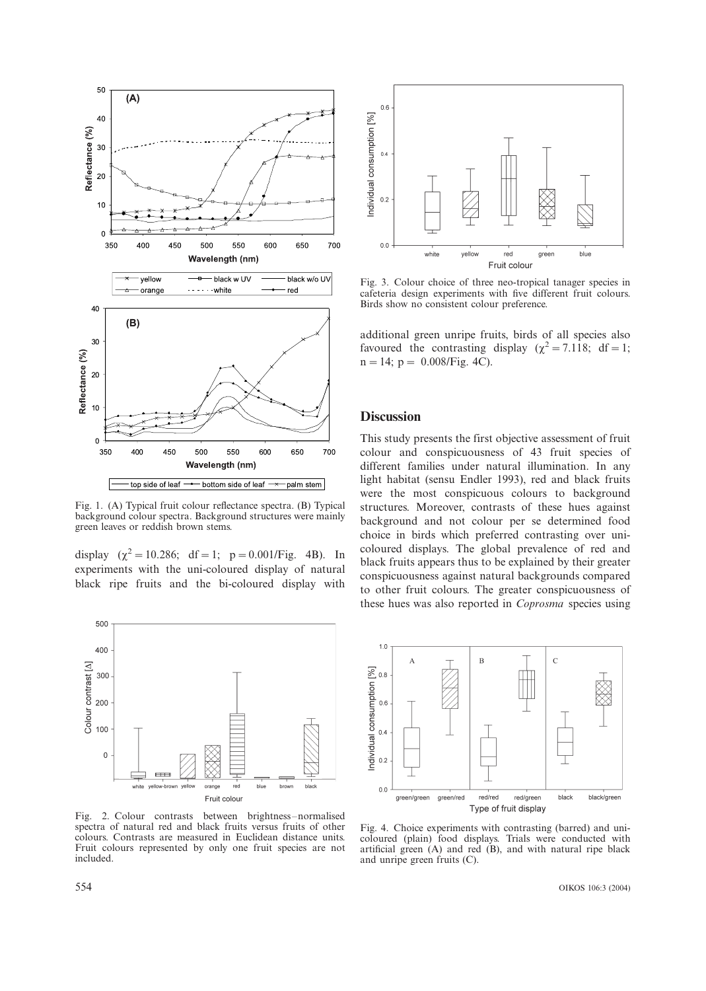

Fig. 1. (A) Typical fruit colour reflectance spectra. (B) Typical background colour spectra. Background structures were mainly green leaves or reddish brown stems.

display  $(\chi^2 = 10.286; df = 1; p = 0.001/Fig. 4B)$ . In experiments with the uni-coloured display of natural black ripe fruits and the bi-coloured display with



Fig. 2. Colour contrasts between brightness-normalised spectra of natural red and black fruits versus fruits of other colours. Contrasts are measured in Euclidean distance units. Fruit colours represented by only one fruit species are not included.



Fig. 3. Colour choice of three neo-tropical tanager species in cafeteria design experiments with five different fruit colours. Birds show no consistent colour preference.

additional green unripe fruits, birds of all species also favoured the contrasting display  $(\chi^2 = 7.118; df = 1;$  $n = 14$ ;  $p = 0.008$ /Fig. 4C).

# **Discussion**

This study presents the first objective assessment of fruit colour and conspicuousness of 43 fruit species of different families under natural illumination. In any light habitat (sensu Endler 1993), red and black fruits were the most conspicuous colours to background structures. Moreover, contrasts of these hues against background and not colour per se determined food choice in birds which preferred contrasting over unicoloured displays. The global prevalence of red and black fruits appears thus to be explained by their greater conspicuousness against natural backgrounds compared to other fruit colours. The greater conspicuousness of these hues was also reported in Coprosma species using



Fig. 4. Choice experiments with contrasting (barred) and unicoloured (plain) food displays. Trials were conducted with artificial green (A) and red (B), and with natural ripe black and unripe green fruits (C).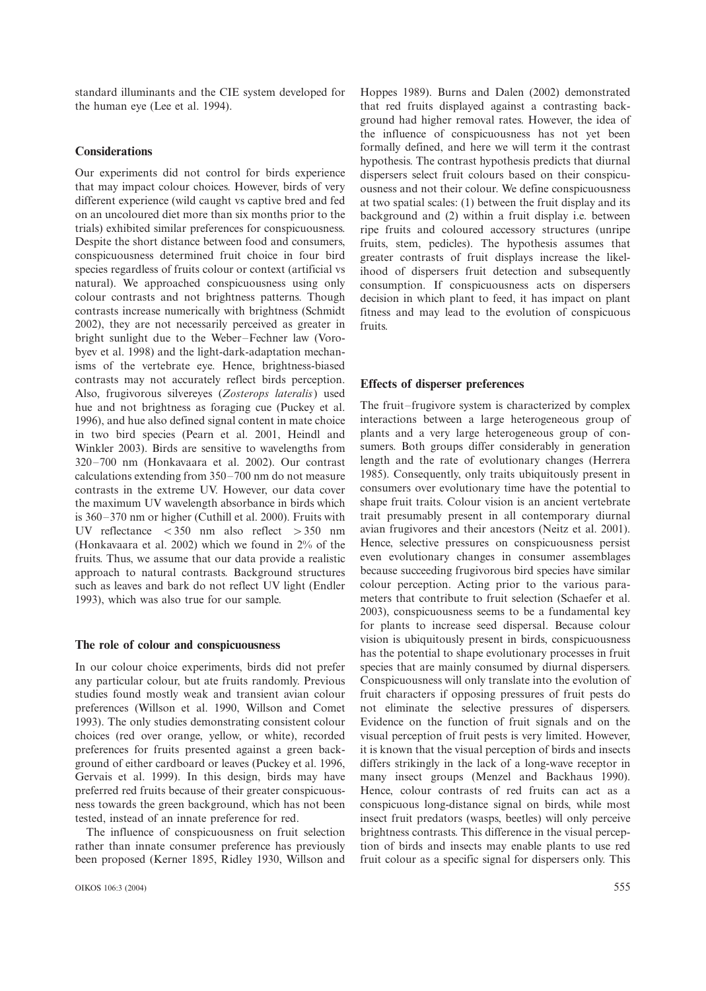standard illuminants and the CIE system developed for the human eye (Lee et al. 1994).

# Considerations

Our experiments did not control for birds experience that may impact colour choices. However, birds of very different experience (wild caught vs captive bred and fed on an uncoloured diet more than six months prior to the trials) exhibited similar preferences for conspicuousness. Despite the short distance between food and consumers, conspicuousness determined fruit choice in four bird species regardless of fruits colour or context (artificial vs natural). We approached conspicuousness using only colour contrasts and not brightness patterns. Though contrasts increase numerically with brightness (Schmidt 2002), they are not necessarily perceived as greater in bright sunlight due to the Weber-Fechner law (Vorobyev et al. 1998) and the light-dark-adaptation mechanisms of the vertebrate eye. Hence, brightness-biased contrasts may not accurately reflect birds perception. Also, frugivorous silvereyes (Zosterops lateralis) used hue and not brightness as foraging cue (Puckey et al. 1996), and hue also defined signal content in mate choice in two bird species (Pearn et al. 2001, Heindl and Winkler 2003). Birds are sensitive to wavelengths from 320-700 nm (Honkavaara et al. 2002). Our contrast calculations extending from  $350-700$  nm do not measure contrasts in the extreme UV. However, our data cover the maximum UV wavelength absorbance in birds which is  $360-370$  nm or higher (Cuthill et al. 2000). Fruits with UV reflectance  $\langle 350 \rangle$  nm also reflect  $> 350 \rangle$  nm (Honkavaara et al. 2002) which we found in 2% of the fruits. Thus, we assume that our data provide a realistic approach to natural contrasts. Background structures such as leaves and bark do not reflect UV light (Endler 1993), which was also true for our sample.

#### The role of colour and conspicuousness

In our colour choice experiments, birds did not prefer any particular colour, but ate fruits randomly. Previous studies found mostly weak and transient avian colour preferences (Willson et al. 1990, Willson and Comet 1993). The only studies demonstrating consistent colour choices (red over orange, yellow, or white), recorded preferences for fruits presented against a green background of either cardboard or leaves (Puckey et al. 1996, Gervais et al. 1999). In this design, birds may have preferred red fruits because of their greater conspicuousness towards the green background, which has not been tested, instead of an innate preference for red.

The influence of conspicuousness on fruit selection rather than innate consumer preference has previously been proposed (Kerner 1895, Ridley 1930, Willson and Hoppes 1989). Burns and Dalen (2002) demonstrated that red fruits displayed against a contrasting background had higher removal rates. However, the idea of the influence of conspicuousness has not yet been formally defined, and here we will term it the contrast hypothesis. The contrast hypothesis predicts that diurnal dispersers select fruit colours based on their conspicuousness and not their colour. We define conspicuousness at two spatial scales: (1) between the fruit display and its background and (2) within a fruit display i.e. between ripe fruits and coloured accessory structures (unripe fruits, stem, pedicles). The hypothesis assumes that greater contrasts of fruit displays increase the likelihood of dispersers fruit detection and subsequently consumption. If conspicuousness acts on dispersers decision in which plant to feed, it has impact on plant fitness and may lead to the evolution of conspicuous fruits.

## Effects of disperser preferences

The fruit-frugivore system is characterized by complex interactions between a large heterogeneous group of plants and a very large heterogeneous group of consumers. Both groups differ considerably in generation length and the rate of evolutionary changes (Herrera 1985). Consequently, only traits ubiquitously present in consumers over evolutionary time have the potential to shape fruit traits. Colour vision is an ancient vertebrate trait presumably present in all contemporary diurnal avian frugivores and their ancestors (Neitz et al. 2001). Hence, selective pressures on conspicuousness persist even evolutionary changes in consumer assemblages because succeeding frugivorous bird species have similar colour perception. Acting prior to the various parameters that contribute to fruit selection (Schaefer et al. 2003), conspicuousness seems to be a fundamental key for plants to increase seed dispersal. Because colour vision is ubiquitously present in birds, conspicuousness has the potential to shape evolutionary processes in fruit species that are mainly consumed by diurnal dispersers. Conspicuousness will only translate into the evolution of fruit characters if opposing pressures of fruit pests do not eliminate the selective pressures of dispersers. Evidence on the function of fruit signals and on the visual perception of fruit pests is very limited. However, it is known that the visual perception of birds and insects differs strikingly in the lack of a long-wave receptor in many insect groups (Menzel and Backhaus 1990). Hence, colour contrasts of red fruits can act as a conspicuous long-distance signal on birds, while most insect fruit predators (wasps, beetles) will only perceive brightness contrasts. This difference in the visual perception of birds and insects may enable plants to use red fruit colour as a specific signal for dispersers only. This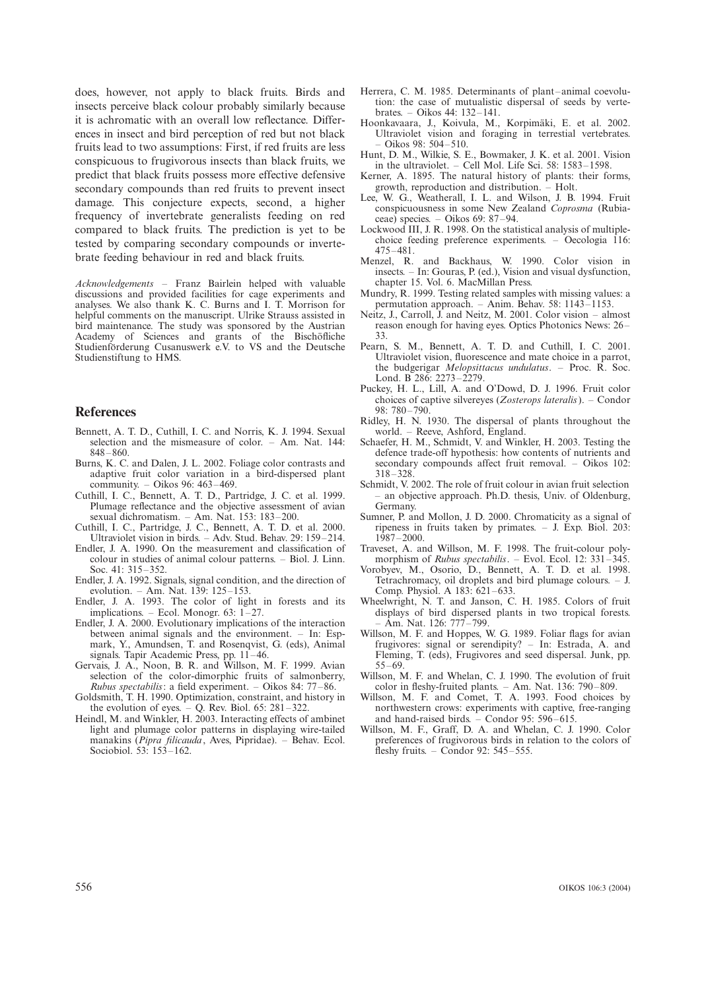does, however, not apply to black fruits. Birds and insects perceive black colour probably similarly because it is achromatic with an overall low reflectance. Differences in insect and bird perception of red but not black fruits lead to two assumptions: First, if red fruits are less conspicuous to frugivorous insects than black fruits, we predict that black fruits possess more effective defensive secondary compounds than red fruits to prevent insect damage. This conjecture expects, second, a higher frequency of invertebrate generalists feeding on red compared to black fruits. The prediction is yet to be tested by comparing secondary compounds or invertebrate feeding behaviour in red and black fruits.

Acknowledgements - Franz Bairlein helped with valuable discussions and provided facilities for cage experiments and analyses. We also thank K. C. Burns and I. T. Morrison for helpful comments on the manuscript. Ulrike Strauss assisted in bird maintenance. The study was sponsored by the Austrian Academy of Sciences and grants of the Bischöfliche Studienförderung Cusanuswerk e.V. to VS and the Deutsche Studienstiftung to HMS.

#### References

- Bennett, A. T. D., Cuthill, I. C. and Norris, K. J. 1994. Sexual selection and the mismeasure of color. - Am. Nat. 144:  $848 - 860$
- Burns, K. C. and Dalen, J. L. 2002. Foliage color contrasts and adaptive fruit color variation in a bird-dispersed plant community. - Oikos 96:  $463-469$ .
- Cuthill, I. C., Bennett, A. T. D., Partridge, J. C. et al. 1999. Plumage reflectance and the objective assessment of avian sexual dichromatism. - Am. Nat. 153: 183-200.
- Cuthill, I. C., Partridge, J. C., Bennett, A. T. D. et al. 2000. Ultraviolet vision in birds. - Adv. Stud. Behav. 29: 159-214.
- Endler, J. A. 1990. On the measurement and classification of colour in studies of animal colour patterns. - Biol. J. Linn. Soc. 41: 315-352.
- Endler, J. A. 1992. Signals, signal condition, and the direction of evolution. - Am. Nat. 139: 125-153.
- Endler, J. A. 1993. The color of light in forests and its implications. - Ecol. Monogr. 63:  $1 - 27$ .
- Endler, J. A. 2000. Evolutionary implications of the interaction between animal signals and the environment.  $-$  In: Espmark, Y., Amundsen, T. and Rosenqvist, G. (eds), Animal signals. Tapir Academic Press, pp. 11-46.
- Gervais, J. A., Noon, B. R. and Willson, M. F. 1999. Avian selection of the color-dimorphic fruits of salmonberry, *Rubus spectabilis*: a field experiment.  $-$  Oikos 84: 77–86.
- Goldsmith, T. H. 1990. Optimization, constraint, and history in the evolution of eyes.  $-$  Q. Rev. Biol. 65: 281-322.
- Heindl, M. and Winkler, H. 2003. Interacting effects of ambinet light and plumage color patterns in displaying wire-tailed manakins ( $Pipra$  filicauda, Aves, Pipridae). - Behav. Ecol. Sociobiol.  $53: 153-162$ .
- Herrera, C. M. 1985. Determinants of plant-animal coevolution: the case of mutualistic dispersal of seeds by vertebrates. - Oikos 44: 132-141.
- Hoonkavaara, J., Koivula, M., Korpimäki, E. et al. 2002. Ultraviolet vision and foraging in terrestial vertebrates. - Oikos 98: 504-510.
- Hunt, D. M., Wilkie, S. E., Bowmaker, J. K. et al. 2001. Vision in the ultraviolet.  $-$  Cell Mol. Life Sci. 58: 1583 $-1598$ .
- Kerner, A. 1895. The natural history of plants: their forms, growth, reproduction and distribution.  $-$  Holt.
- Lee, W. G., Weatherall, I. L. and Wilson, J. B. 1994. Fruit conspicuousness in some New Zealand Coprosma (Rubiaceae) species. – Oikos 69: 87–94.
- Lockwood III, J. R. 1998. On the statistical analysis of multiplechoice feeding preference experiments. - Oecologia 116:  $475 - 481.$
- Menzel, R. and Backhaus, W. 1990. Color vision in insects. - In: Gouras, P. (ed.), Vision and visual dysfunction, chapter 15. Vol. 6. MacMillan Press.
- Mundry, R. 1999. Testing related samples with missing values: a permutation approach. – Anim. Behav. 58: 1143–1153.
- Neitz, J., Carroll, J. and Neitz, M. 2001. Color vision almost reason enough for having eyes. Optics Photonics News: 26-33.
- Pearn, S. M., Bennett, A. T. D. and Cuthill, I. C. 2001. Ultraviolet vision, fluorescence and mate choice in a parrot, the budgerigar Melopsittacus undulatus. - Proc. R. Soc. Lond. B 286: 2273-2279.
- Puckey, H. L., Lill, A. and O'Dowd, D. J. 1996. Fruit color choices of captive silvereyes (Zosterops lateralis). - Condor 98: 780-790.
- Ridley, H. N. 1930. The dispersal of plants throughout the world. - Reeve, Ashford, England.
- Schaefer, H. M., Schmidt, V. and Winkler, H. 2003. Testing the defence trade-off hypothesis: how contents of nutrients and secondary compounds affect fruit removal. - Oikos 102:  $318 - 328$
- Schmidt, V. 2002. The role of fruit colour in avian fruit selection - an objective approach. Ph.D. thesis, Univ. of Oldenburg, Germany.
- Sumner, P. and Mollon, J. D. 2000. Chromaticity as a signal of ripeness in fruits taken by primates.  $-$  J. Exp. Biol. 203:  $1987 - 2000$ .
- Traveset, A. and Willson, M. F. 1998. The fruit-colour polymorphism of *Rubus spectabilis.* – Evol. Ecol. 12:  $331 - 345$ .
- Vorobyev, M., Osorio, D., Bennett, A. T. D. et al. 1998. Tetrachromacy, oil droplets and bird plumage colours.  $-$  J. Comp. Physiol. A 183: 621-633.
- Wheelwright, N. T. and Janson, C. H. 1985. Colors of fruit displays of bird dispersed plants in two tropical forests. Am. Nat. 126: 777-799.
- Willson, M. F. and Hoppes, W. G. 1989. Foliar flags for avian frugivores: signal or serendipity? - In: Estrada, A. and Fleming, T. (eds), Frugivores and seed dispersal. Junk, pp.  $55-69.$
- Willson, M. F. and Whelan, C. J. 1990. The evolution of fruit color in fleshy-fruited plants.  $-$  Am. Nat. 136: 790-809.
- Willson, M. F. and Comet, T. A. 1993. Food choices by northwestern crows: experiments with captive, free-ranging and hand-raised birds.  $-$  Condor 95: 596 $-615$ .
- Willson, M. F., Graff, D. A. and Whelan, C. J. 1990. Color preferences of frugivorous birds in relation to the colors of fleshy fruits. - Condor 92:  $545-555$ .